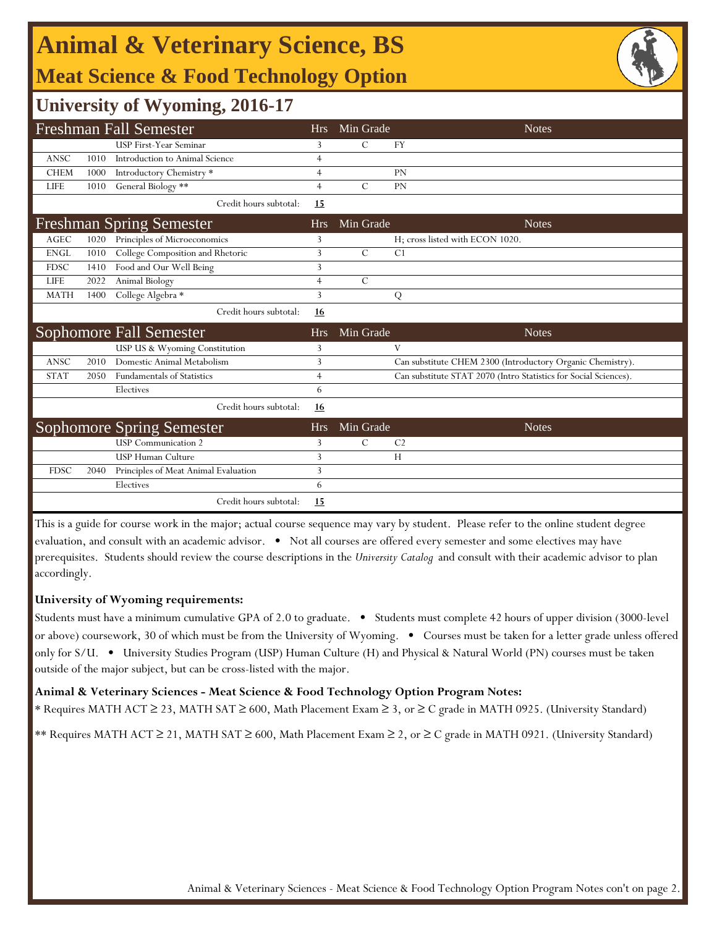## **Animal & Veterinary Science, BS Meat Science & Food Technology Option**



### **University of Wyoming, 2016-17**

|                                 |      | Freshman Fall Semester               | Hrs            | Min Grade     | <b>Notes</b>                                                     |
|---------------------------------|------|--------------------------------------|----------------|---------------|------------------------------------------------------------------|
|                                 |      | USP First-Year Seminar               | 3              | C             | <b>FY</b>                                                        |
| <b>ANSC</b>                     | 1010 | Introduction to Animal Science       | $\overline{4}$ |               |                                                                  |
| <b>CHEM</b>                     | 1000 | Introductory Chemistry *             | $\overline{4}$ |               | <b>PN</b>                                                        |
| <b>LIFE</b>                     | 1010 | General Biology **                   | $\overline{4}$ | $\mathcal{C}$ | PN                                                               |
|                                 |      | Credit hours subtotal:               | 15             |               |                                                                  |
| <b>Freshman Spring Semester</b> |      |                                      | <b>Hrs</b>     | Min Grade     | <b>Notes</b>                                                     |
| <b>AGEC</b>                     | 1020 | Principles of Microeconomics         | 3              |               | H; cross listed with ECON 1020.                                  |
| <b>ENGL</b>                     | 1010 | College Composition and Rhetoric     | $\overline{3}$ | $\mathcal{C}$ | C <sub>1</sub>                                                   |
| <b>FDSC</b>                     | 1410 | Food and Our Well Being              | 3              |               |                                                                  |
| <b>LIFE</b>                     | 2022 | Animal Biology                       | $\overline{4}$ | $\mathcal{C}$ |                                                                  |
| <b>MATH</b>                     | 1400 | College Algebra *                    | 3              |               | Q                                                                |
|                                 |      | Credit hours subtotal:               | 16             |               |                                                                  |
| Sophomore Fall Semester         |      |                                      | <b>Hrs</b>     | Min Grade     | <b>Notes</b>                                                     |
|                                 |      | USP US & Wyoming Constitution        | 3              |               | V                                                                |
| <b>ANSC</b>                     | 2010 | Domestic Animal Metabolism           | $\overline{3}$ |               | Can substitute CHEM 2300 (Introductory Organic Chemistry).       |
| <b>STAT</b>                     | 2050 | <b>Fundamentals of Statistics</b>    | $\overline{4}$ |               | Can substitute STAT 2070 (Intro Statistics for Social Sciences). |
|                                 |      | Electives                            | 6              |               |                                                                  |
|                                 |      | Credit hours subtotal:               | 16             |               |                                                                  |
|                                 |      | <b>Sophomore Spring Semester</b>     | <b>Hrs</b>     | Min Grade     | <b>Notes</b>                                                     |
|                                 |      | <b>USP</b> Communication 2           | 3              | $\mathcal{C}$ | C <sub>2</sub>                                                   |
|                                 |      | USP Human Culture                    | 3              |               | H                                                                |
| <b>FDSC</b>                     | 2040 | Principles of Meat Animal Evaluation | 3              |               |                                                                  |
|                                 |      | Electives                            | 6              |               |                                                                  |
|                                 |      | Credit hours subtotal:               | 15             |               |                                                                  |

This is a guide for course work in the major; actual course sequence may vary by student. Please refer to the online student degree evaluation, and consult with an academic advisor. • Not all courses are offered every semester and some electives may have prerequisites. Students should review the course descriptions in the *University Catalog* and consult with their academic advisor to plan accordingly.

#### **University of Wyoming requirements:**

Students must have a minimum cumulative GPA of 2.0 to graduate. • Students must complete 42 hours of upper division (3000-level or above) coursework, 30 of which must be from the University of Wyoming. • Courses must be taken for a letter grade unless offered only for S/U. • University Studies Program (USP) Human Culture (H) and Physical & Natural World (PN) courses must be taken outside of the major subject, but can be cross-listed with the major.

#### **Animal & Veterinary Sciences - Meat Science & Food Technology Option Program Notes:**

\* Requires MATH ACT ≥ 23, MATH SAT ≥ 600, Math Placement Exam ≥ 3, or ≥ C grade in MATH 0925. (University Standard)

\*\* Requires MATH ACT ≥ 21, MATH SAT ≥ 600, Math Placement Exam ≥ 2, or ≥ C grade in MATH 0921. (University Standard)